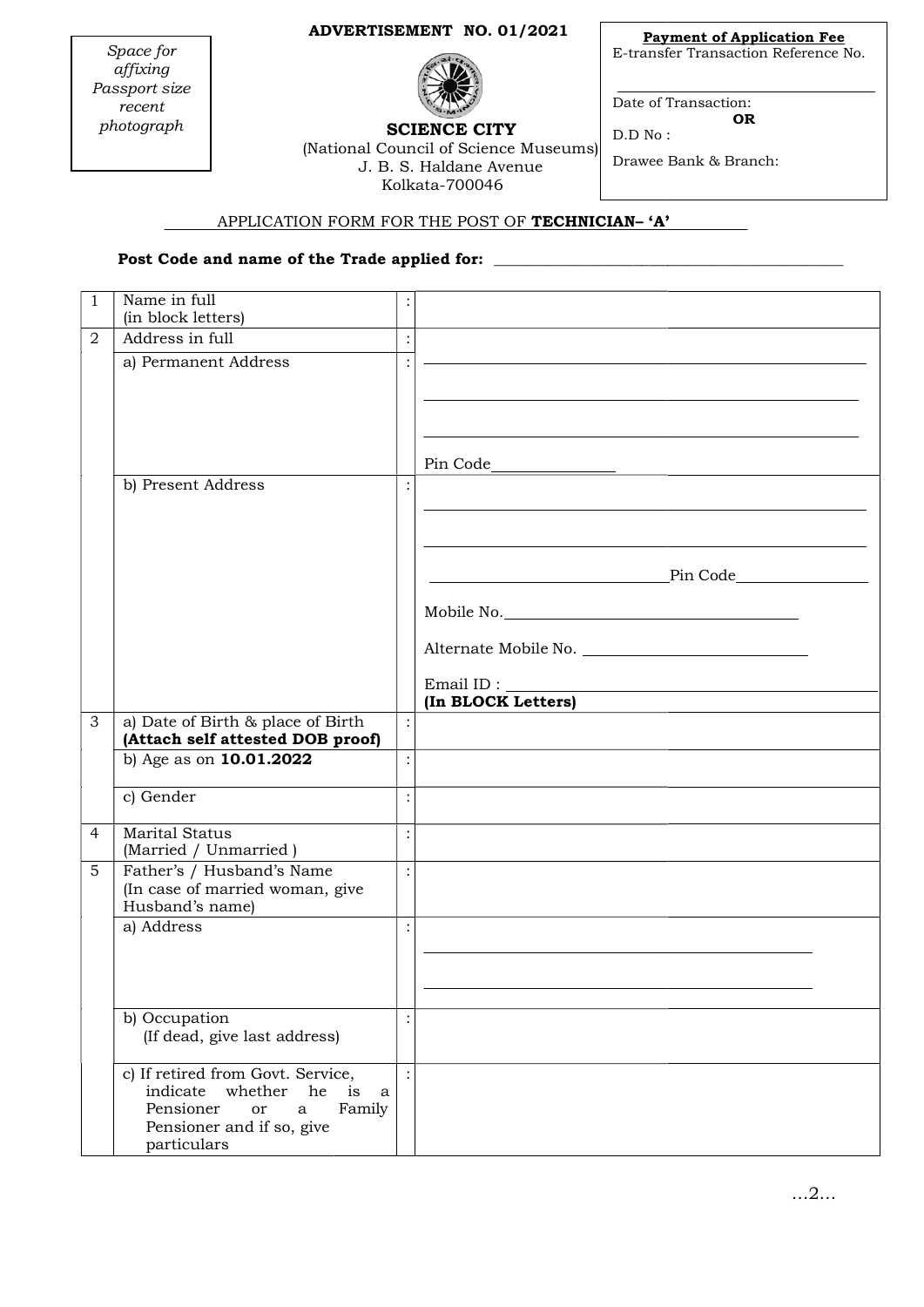## **ADVERTISEMENT NO. 01/2021**



(National Council of Science Museums)

J. B. S. Haldane Avenue Kolkata-700046

Payment of Application Fee E-transfer Transaction Reference No.

Date of Transaction: OR

D.D No :

Drawee Bank & Branch:

Space for affixing Passport size recent photograph

# APPLICATION FORM FOR THE POST OF TECHNICIAN-'A'

#### Post Code and name of the Trade applied for: \_\_\_\_\_\_\_\_\_\_\_\_\_\_\_\_\_\_\_\_\_\_\_\_\_\_\_\_\_\_\_\_\_\_\_

| $\mathbf{1}$ | Name in full<br>(in block letters)                                                                                                                      |                |                                                                                                                                                                                                                                |
|--------------|---------------------------------------------------------------------------------------------------------------------------------------------------------|----------------|--------------------------------------------------------------------------------------------------------------------------------------------------------------------------------------------------------------------------------|
| 2            | Address in full                                                                                                                                         | $\ddot{\cdot}$ |                                                                                                                                                                                                                                |
|              | a) Permanent Address                                                                                                                                    |                |                                                                                                                                                                                                                                |
|              | b) Present Address                                                                                                                                      |                | the control of the control of the control of the control of the control of the control of<br><u>Pin Code</u><br>$\begin{minipage}{.4\linewidth} \textbf{Mobile No.} \end{minipage}$<br>Email ID :<br><b>(In BLOCK Letters)</b> |
| 3            | a) Date of Birth & place of Birth<br>(Attach self attested DOB proof)                                                                                   |                |                                                                                                                                                                                                                                |
|              | b) Age as on 10.01.2022                                                                                                                                 |                |                                                                                                                                                                                                                                |
|              | c) Gender                                                                                                                                               |                |                                                                                                                                                                                                                                |
| 4            | <b>Marital Status</b><br>(Married / Unmarried)                                                                                                          |                |                                                                                                                                                                                                                                |
| 5            | Father's / Husband's Name<br>(In case of married woman, give<br>Husband's name)                                                                         |                |                                                                                                                                                                                                                                |
|              | a) Address                                                                                                                                              | $\cdot$        |                                                                                                                                                                                                                                |
|              | b) Occupation<br>(If dead, give last address)                                                                                                           |                |                                                                                                                                                                                                                                |
|              | c) If retired from Govt. Service,<br>indicate<br>whether<br>he<br>is<br>a<br>Pensioner<br>Family<br>or<br>a<br>Pensioner and if so, give<br>particulars |                |                                                                                                                                                                                                                                |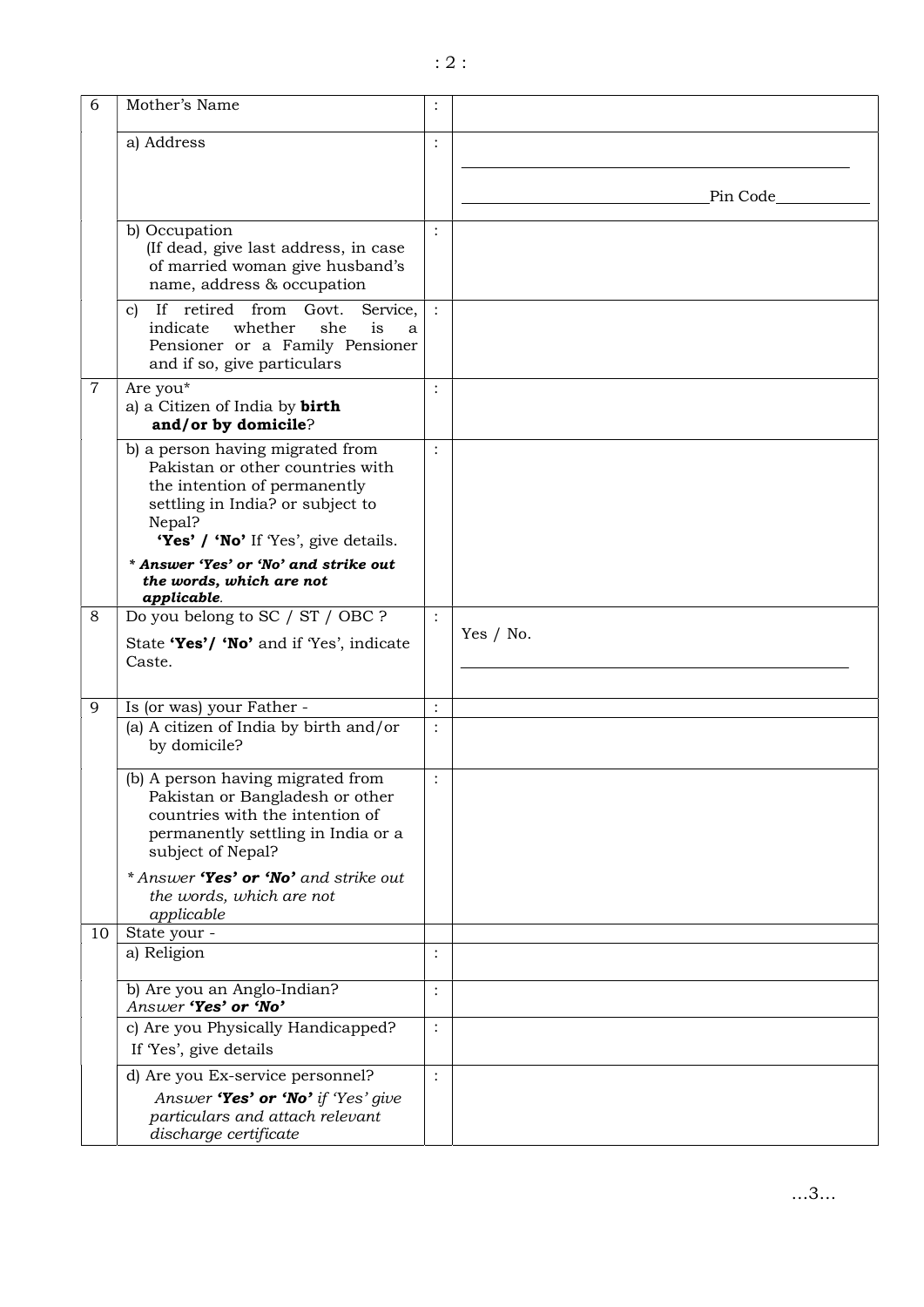| 6              | Mother's Name                                                                                                                                                                              |                |           |
|----------------|--------------------------------------------------------------------------------------------------------------------------------------------------------------------------------------------|----------------|-----------|
|                | a) Address                                                                                                                                                                                 | $\ddot{\cdot}$ |           |
|                |                                                                                                                                                                                            |                |           |
|                |                                                                                                                                                                                            |                | Pin Code  |
|                | b) Occupation<br>(If dead, give last address, in case<br>of married woman give husband's<br>name, address & occupation                                                                     |                |           |
|                | If retired from Govt.<br>Service,<br>$\mathbf{C}$<br>whether<br>she<br>indicate<br>is<br>a<br>Pensioner or a Family Pensioner<br>and if so, give particulars                               |                |           |
| $\overline{7}$ | Are you <sup>*</sup><br>a) a Citizen of India by birth<br>and/or by domicile?                                                                                                              | $\ddot{\cdot}$ |           |
|                | b) a person having migrated from<br>Pakistan or other countries with<br>the intention of permanently<br>settling in India? or subject to<br>Nepal?<br>'Yes' / 'No' If 'Yes', give details. | $\ddot{\cdot}$ |           |
|                | * Answer 'Yes' or 'No' and strike out<br>the words, which are not<br>applicable.                                                                                                           |                |           |
| 8              | Do you belong to SC / ST / OBC ?                                                                                                                                                           | $\ddot{\cdot}$ |           |
|                | State 'Yes'/ 'No' and if 'Yes', indicate<br>Caste.                                                                                                                                         |                | Yes / No. |
|                |                                                                                                                                                                                            |                |           |
| 9              | Is (or was) your Father -                                                                                                                                                                  |                |           |
|                | (a) A citizen of India by birth and/or<br>by domicile?                                                                                                                                     | $\ddot{\cdot}$ |           |
|                | (b) A person having migrated from<br>Pakistan or Bangladesh or other<br>countries with the intention of<br>permanently settling in India or a<br>subject of Nepal?                         | $\bullet$      |           |
|                | * Answer 'Yes' or 'No' and strike out<br>the words, which are not<br>applicable                                                                                                            |                |           |
| 10             | State your -                                                                                                                                                                               |                |           |
|                | a) Religion                                                                                                                                                                                | :              |           |
|                | b) Are you an Anglo-Indian?<br>Answer 'Yes' or 'No'                                                                                                                                        | $\ddot{\cdot}$ |           |
|                | c) Are you Physically Handicapped?<br>If 'Yes', give details                                                                                                                               | $\ddot{\cdot}$ |           |
|                | d) Are you Ex-service personnel?<br>Answer 'Yes' or 'No' if 'Yes' give<br>particulars and attach relevant<br>discharge certificate                                                         | $\ddot{\cdot}$ |           |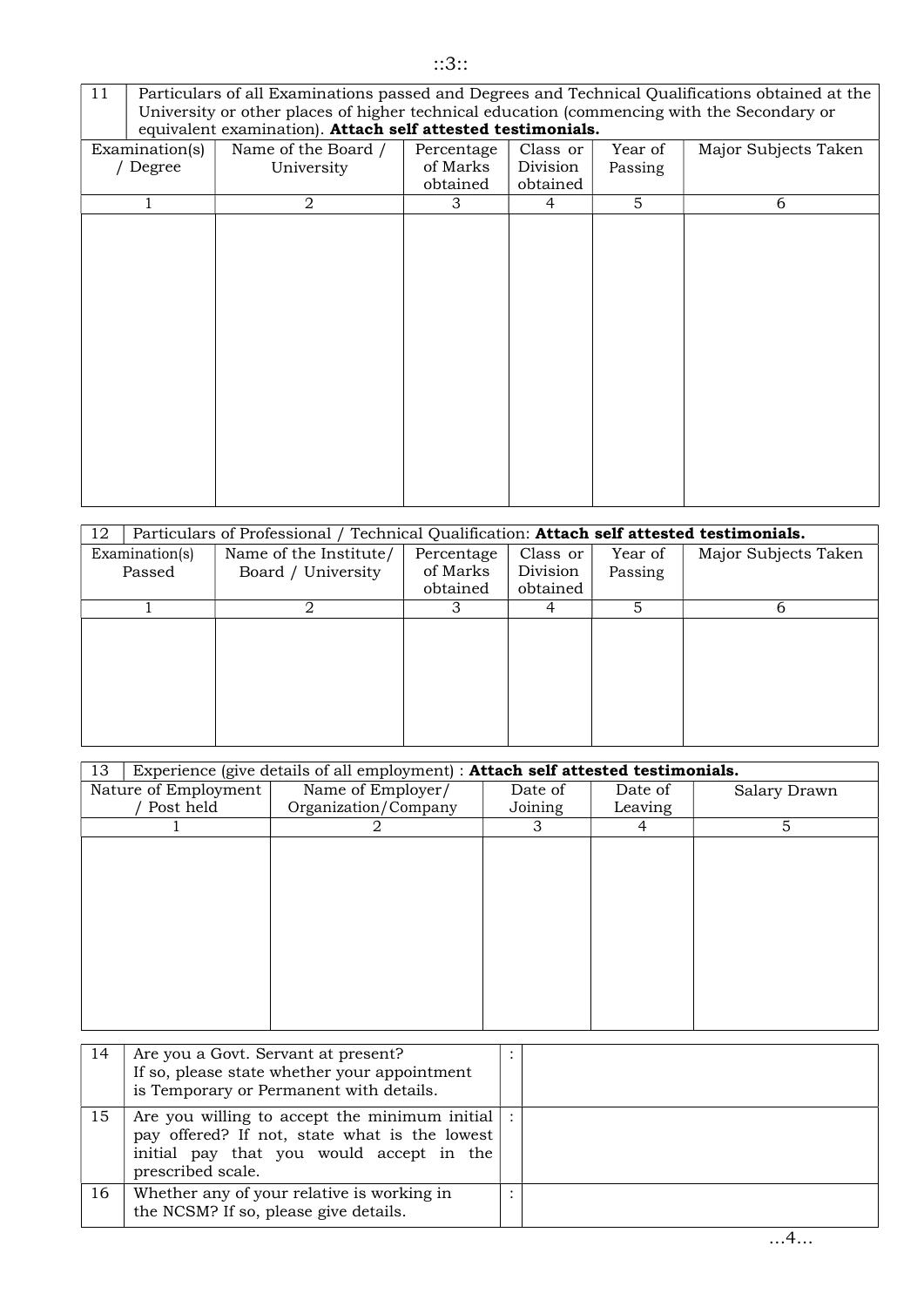| 11<br>Particulars of all Examinations passed and Degrees and Technical Qualifications obtained at the                                                     |                                                                                                                                                                 |  |   |               |               |   |   |  |  |
|-----------------------------------------------------------------------------------------------------------------------------------------------------------|-----------------------------------------------------------------------------------------------------------------------------------------------------------------|--|---|---------------|---------------|---|---|--|--|
| University or other places of higher technical education (commencing with the Secondary or<br>equivalent examination). Attach self attested testimonials. |                                                                                                                                                                 |  |   |               |               |   |   |  |  |
|                                                                                                                                                           | Examination(s)<br>Major Subjects Taken<br>Name of the Board /<br>Percentage<br>Class or<br>Year of<br>Division<br>of Marks<br>/ Degree<br>University<br>Passing |  |   |               |               |   |   |  |  |
|                                                                                                                                                           |                                                                                                                                                                 |  | 2 | obtained<br>3 | obtained<br>4 | 5 | 6 |  |  |
|                                                                                                                                                           |                                                                                                                                                                 |  |   |               |               |   |   |  |  |

| Particulars of Professional / Technical Qualification: Attach self attested testimonials.<br>12 |                        |            |          |         |                      |  |  |
|-------------------------------------------------------------------------------------------------|------------------------|------------|----------|---------|----------------------|--|--|
| Examination(s)                                                                                  | Name of the Institute/ | Percentage | Class or | Year of | Major Subjects Taken |  |  |
| Passed                                                                                          | Board / University     | of Marks   | Division | Passing |                      |  |  |
|                                                                                                 |                        | obtained   | obtained |         |                      |  |  |
|                                                                                                 |                        |            |          |         |                      |  |  |
|                                                                                                 |                        |            |          |         |                      |  |  |
|                                                                                                 |                        |            |          |         |                      |  |  |
|                                                                                                 |                        |            |          |         |                      |  |  |
|                                                                                                 |                        |            |          |         |                      |  |  |
|                                                                                                 |                        |            |          |         |                      |  |  |
|                                                                                                 |                        |            |          |         |                      |  |  |
|                                                                                                 |                        |            |          |         |                      |  |  |

| Experience (give details of all employment) : Attach self attested testimonials.<br>13 |                                           |                    |                    |              |  |  |  |  |
|----------------------------------------------------------------------------------------|-------------------------------------------|--------------------|--------------------|--------------|--|--|--|--|
| Nature of Employment<br>Post held                                                      | Name of Employer/<br>Organization/Company | Date of<br>Joining | Date of<br>Leaving | Salary Drawn |  |  |  |  |
|                                                                                        |                                           | 3                  | 4                  | 5            |  |  |  |  |
|                                                                                        |                                           |                    |                    |              |  |  |  |  |
|                                                                                        |                                           |                    |                    |              |  |  |  |  |
|                                                                                        |                                           |                    |                    |              |  |  |  |  |
|                                                                                        |                                           |                    |                    |              |  |  |  |  |
|                                                                                        |                                           |                    |                    |              |  |  |  |  |
|                                                                                        |                                           |                    |                    |              |  |  |  |  |
|                                                                                        |                                           |                    |                    |              |  |  |  |  |
|                                                                                        |                                           |                    |                    |              |  |  |  |  |
| Are you a Govt. Servant at present?<br>14                                              |                                           | $\bullet$          |                    |              |  |  |  |  |

| 14 | Are you a Govt. Servant at present?<br>If so, please state whether your appointment<br>is Temporary or Permanent with details.                                  |           |  |
|----|-----------------------------------------------------------------------------------------------------------------------------------------------------------------|-----------|--|
| 15 | Are you willing to accept the minimum initial<br>pay offered? If not, state what is the lowest<br>initial pay that you would accept in the<br>prescribed scale. |           |  |
| 16 | Whether any of your relative is working in<br>the NCSM? If so, please give details.                                                                             | $\bullet$ |  |

::3::